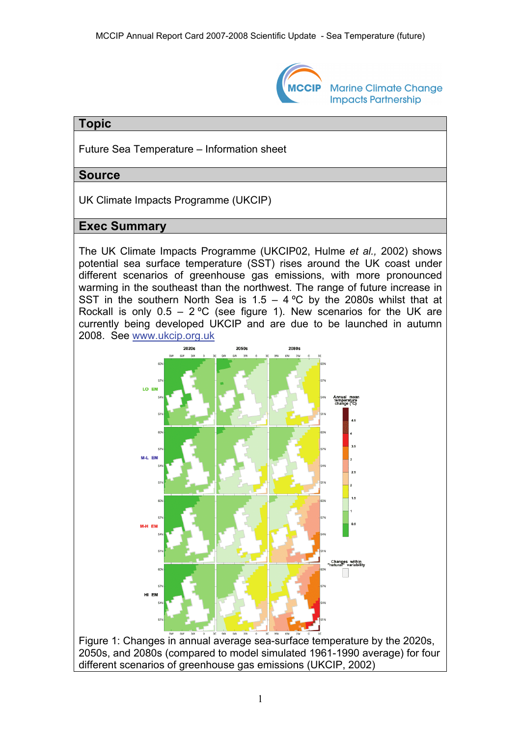

**Marine Climate Change Impacts Partnership** 

## **Topic**

Future Sea Temperature – Information sheet

#### **Source**

UK Climate Impacts Programme (UKCIP)

# **Exec Summary**

The UK Climate Impacts Programme (UKCIP02, Hulme *et al.,* 2002) shows potential sea surface temperature (SST) rises around the UK coast under different scenarios of greenhouse gas emissions, with more pronounced warming in the southeast than the northwest. The range of future increase in SST in the southern North Sea is  $1.5 - 4$  °C by the 2080s whilst that at Rockall is only  $0.5 - 2$  °C (see figure 1). New scenarios for the UK are currently being developed UKCIP and are due to be launched in autumn 2008. See [www.ukcip.org.uk](http://www.ukcip.org.uk/)



Figure 1: Changes in annual average sea-surface temperature by the 2020s, 2050s, and 2080s (compared to model simulated 1961-1990 average) for four different scenarios of greenhouse gas emissions (UKCIP, 2002)